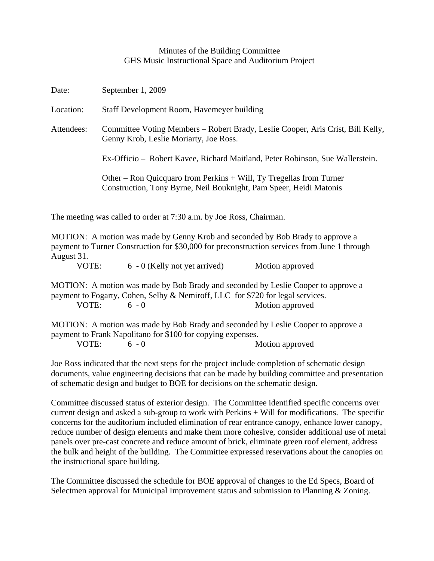## Minutes of the Building Committee GHS Music Instructional Space and Auditorium Project

| Date:      | September 1, 2009                                                                                                                         |
|------------|-------------------------------------------------------------------------------------------------------------------------------------------|
| Location:  | Staff Development Room, Havemeyer building                                                                                                |
| Attendees: | Committee Voting Members – Robert Brady, Leslie Cooper, Aris Crist, Bill Kelly,<br>Genny Krob, Leslie Moriarty, Joe Ross.                 |
|            | Ex-Officio – Robert Kavee, Richard Maitland, Peter Robinson, Sue Wallerstein.                                                             |
|            | Other – Ron Quicquaro from Perkins + Will, Ty Tregellas from Turner<br>Construction, Tony Byrne, Neil Bouknight, Pam Speer, Heidi Matonis |

The meeting was called to order at 7:30 a.m. by Joe Ross, Chairman.

MOTION: A motion was made by Genny Krob and seconded by Bob Brady to approve a payment to Turner Construction for \$30,000 for preconstruction services from June 1 through August 31. VOTE: 6 - 0 (Kelly not yet arrived) Motion approved

MOTION: A motion was made by Bob Brady and seconded by Leslie Cooper to approve a payment to Fogarty, Cohen, Selby & Nemiroff, LLC for \$720 for legal services. VOTE: 6 - 0 Motion approved

MOTION: A motion was made by Bob Brady and seconded by Leslie Cooper to approve a payment to Frank Napolitano for \$100 for copying expenses.

VOTE: 6 - 0 Motion approved

Joe Ross indicated that the next steps for the project include completion of schematic design documents, value engineering decisions that can be made by building committee and presentation of schematic design and budget to BOE for decisions on the schematic design.

Committee discussed status of exterior design. The Committee identified specific concerns over current design and asked a sub-group to work with Perkins + Will for modifications. The specific concerns for the auditorium included elimination of rear entrance canopy, enhance lower canopy, reduce number of design elements and make them more cohesive, consider additional use of metal panels over pre-cast concrete and reduce amount of brick, eliminate green roof element, address the bulk and height of the building. The Committee expressed reservations about the canopies on the instructional space building.

The Committee discussed the schedule for BOE approval of changes to the Ed Specs, Board of Selectmen approval for Municipal Improvement status and submission to Planning & Zoning.